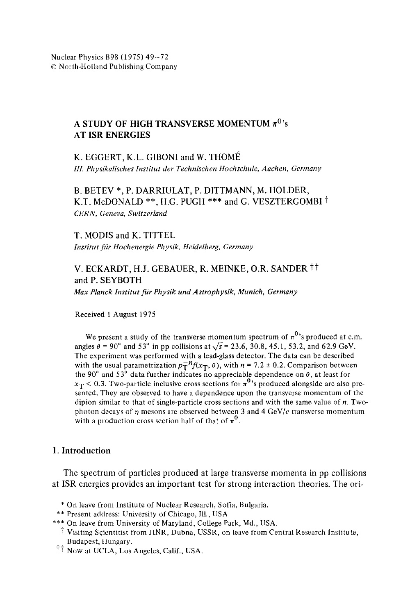### A STUDY OF HIGH TRANSVERSE MOMENTUM  $\pi^0$ 's **AT ISR ENERGIES**

K. EGGERT, K.L. GIBONI and W. THOMÉ *III. Physikalisehes Institut der Technischen Hochschule, Aachen, Germany* 

B. BETEV \*, P. DARRIULAT, P. DITTMANN, M. HOLDER, K.T. McDONALD \*\*, H.G. PUGH \*\*\* and G. VESZTERGOMBI<sup>†</sup> *CERN, Geneva, Switzerland* 

**T.** MODIS and K. TITTEL *lnstitut fiir Hochenergie Physik, Heidelberg, Germany* 

# V. ECKARDT, H.J. GEBAUER, R. MEINKE, O.R. SANDER <sup>††</sup> and P. SEYBOTH

*Max Planck Institut fur Physik und Astrophysik, Munich, Germany* 

Received 1 August 1975

We present a study of the transverse momentum spectrum of  $\pi^{0}$ 's produced at c.m. angles  $\theta = 90^{\circ}$  and 53° in pp collisions at  $\sqrt{s} = 23.6$ , 30.8, 45.1, 53.2, and 62.9 GeV. The experiment was performed with a lead-glass detector. The data can be described with the usual parametrization  $p_T^{-n}f(x_T, \theta)$ , with  $n = 7.2 \pm 0.2$ . Comparison between the 90° and 53° data further indicates no appreciable dependence on  $\theta$ , at least for  $x_T < 0.3$ . Two-particle inclusive cross sections for  $\pi^0$ 's produced alongside are also presented. They are observed to have a dependence upon the transverse momentum of the dipion similar to that of single-particle cross sections and with the same value of  $n$ . Twophoton decays of  $\eta$  mesons are observed between 3 and 4 GeV/c transverse momentum with a production cross section half of that of  $\pi^{0}$ .

#### 1. Introduction

The spectrum of particles produced at large transverse momenta in pp collisions at ISR energies provides an important test for strong interaction theories. The ori-

- \* On leave from Institute of Nuclear Research, Sofia, Bulgaria.
- \*\* Present address: University of Chicago, Ill., USA
- \*\*\* On leave from University of Maryland, College Park, Md., USA.
	- Visiting Scientitist from JINR, Dubna, USSR, on leave from Central Research Institute, Budapest, Hungary.
- $\dagger\dagger$  Now at UCLA, Los Angeles, Calif., USA.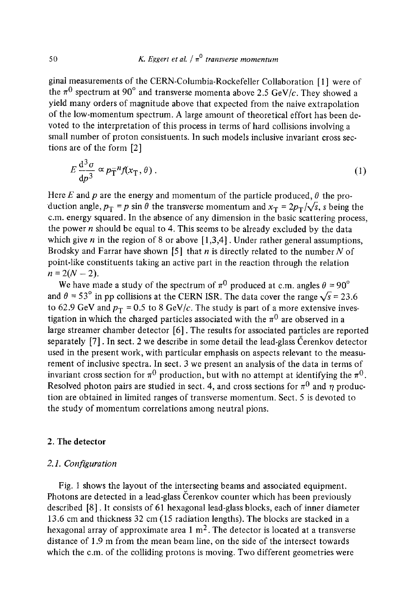ginal measurements of the CERN-Columbia-Rockefeller Collaboration [1] were of the  $\pi^0$  spectrum at 90<sup>°</sup> and transverse momenta above 2.5 GeV/c. They showed a yield many orders of magnitude above that expected from the naive extrapolation of the low-momentum spectrum. A large amount of theoretical effort has been devoted to the interpretation of this process in terms of hard collisions involving a small number of proton consistuents. In such models inclusive invariant cross sections are of the form [2]

$$
E\frac{\mathrm{d}^3\sigma}{\mathrm{d}p^3} \propto p_{\mathrm{T}}^{-n}f(x_{\mathrm{T}},\theta) \,. \tag{1}
$$

Here E and p are the energy and momentum of the particle produced,  $\theta$  the pro-'duction angle,  $p_T = p \sin \theta$  the transverse momentum and  $x_T = 2p_T/\sqrt{s}$ , s being the c.m. energy squared. In the absence of any dimension in the basic scattering process, the power  $n$  should be equal to 4. This seems to be already excluded by the data which give n in the region of 8 or above  $[1,3,4]$ . Under rather general assumptions, Brodsky and Farrar have shown [5] that  $n$  is directly related to the number  $N$  of point-like constituents taking an active part in the reaction through the relation  $n = 2(N - 2)$ .

We have made a study of the spectrum of  $\pi^0$  produced at c.m. angles  $\theta = 90^\circ$ and  $\theta = 53^\circ$  in pp collisions at the CERN ISR. The data cover the range  $\sqrt{s} = 23.6$ to 62.9 GeV and  $p_T = 0.5$  to 8 GeV/c. The study is part of a more extensive investigation in which the charged particles associated with the  $\pi^0$  are observed in a large streamer chamber detector [6]. The results for associated particles are reported separately  $[7]$ . In sect. 2 we describe in some detail the lead-glass Cerenkov detector used in the present work, with particular emphasis on aspects relevant to the measurement of inclusive spectra. In sect. 3 we present an analysis of the data in terms of invariant cross section for  $\pi^0$  production, but with no attempt at identifying the  $\pi^0$ . Resolved photon pairs are studied in sect. 4, and cross sections for  $\pi^0$  and  $\eta$  production are obtained in limited ranges of transverse momentum. Sect. 5 is devoted to the study of momentum correlations among neutral pions.

#### 2. The detector

#### *2.1. Configuration*

Fig. 1 shows the layout of the intersecting beams and associated equipment. Photons are detected in a lead-glass Cerenkov counter which has been previously described [8]. It consists of 61 hexagonal lead-glass blocks, each of inner diameter 13.6 cm and thickness 32 cm (15 radiation lengths). The blocks are stacked in a hexagonal array of approximate area  $1 \text{ m}^2$ . The detector is located at a transverse distance of 1.9 m from the mean beam line, on the side of the intersect towards which the c.m. of the colliding protons is moving. Two different geometries were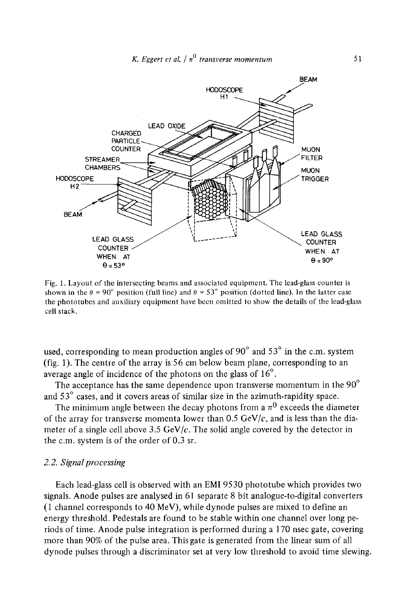

Fig. 1. Layout of the intersecting beams and associated equipment. The lead-glass counter is shown in the  $\theta = 90^{\circ}$  position (full line) and  $\theta = 53^{\circ}$  position (dotted line). In the latter case the phototubes and auxiliary equipment have been omitted to show the details of the lead-glass cell stack.

used, corresponding to mean production angles of 90 $^{\circ}$  and 53 $^{\circ}$  in the c.m. system (fig. 1). The centre of the array is 56 cm below beam plane, corresponding to an average angle of incidence of the photons on the glass of  $16^{\circ}$ .

The acceptance has the same dependence upon transverse momentum in the  $90^{\circ}$ and  $53^\circ$  cases, and it covers areas of similar size in the azimuth-rapidity space.

The minimum angle between the decay photons from a  $\pi^0$  exceeds the diameter of the array for transverse momenta lower than  $0.5 \text{ GeV}/c$ , and is less than the diameter of a single cell above 3.5 GeV/ $c$ . The solid angle covered by the detector in the c.m. system is of the order of 0.3 sr.

#### *2.2. Signal processing*

Each lead-glass cell is observed with an EMI 9530 phototube which provides two signals. Anode pulses are analysed in 61 separate 8 bit analogue-to-digital converters (1 channel corresponds to 40 MeV), while dynode pulses are mixed to define an energy threshold. Pedestals are found to be stable within one channel over long periods of time. Anode pulse integration is performed during a 170 nsec gate, covering more than 90% of the pulse area. This gate is generated from the linear sum of all dynode pulses through a discriminator set at very low threshold to avoid time slewing.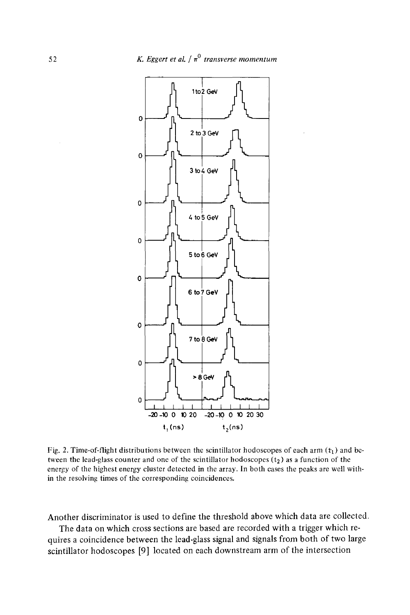

Fig. 2. Time-of-flight distributions between the scintillator hodoscopes of each arm  $(t_1)$  and between the lead-glass counter and one of the scintillator hodoscopes  $(t_2)$  as a function of the energy of the highest energy cluster detected in the array. In both cases the peaks are well within the resolving times of the corresponding coincidences,

Another discriminator is used to define the threshold above which data are collected.

The data on which cross sections are based are recorded with a trigger which requires a coincidence between the lead-glass signal and signals from both of two large scintillator hodoscopes [9] located on each downstream arm of the intersection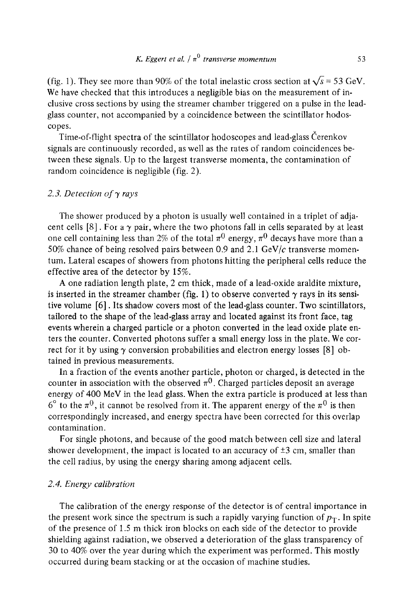(fig. 1). They see more than 90% of the total inelastic cross section at  $\sqrt{s}$  = 53 GeV. We have checked that this introduces a negligible bias on the measurement of inclusive cross sections by using the streamer chamber triggered on a pulse in the leadglass counter, not accompanied by a coincidence between the scintillator hodoscopes.

Time-of-flight spectra of the scintillator hodoscopes and lead-glass Čerenkov signals are continuously recorded, as well as the rates of random coincidences between these signals. Up to the largest transverse momenta, the contamination of random coincidence is negligible (fig. 2).

#### 2.3. Detection of  $\gamma$  rays

The shower produced by a photon is usually well contained in a triplet of adjacent cells [8]. For a  $\gamma$  pair, where the two photons fall in cells separated by at least one cell containing less than 2% of the total  $\pi^0$  energy,  $\pi^0$  decays have more than a 50% chance of being resolved pairs between 0.9 and 2.1 GeV/ $c$  transverse momentum. Lateral escapes of showers from photons hitting the peripheral cells reduce the effective area of the detector by 15%.

A one radiation length plate, 2 cm thick, made of a lead-oxide araldite mixture, is inserted in the streamer chamber (fig. 1) to observe converted  $\gamma$  rays in its sensitive volume [6]. Its shadow covers most of the lead-glass counter. Two scintillators, tailored to the shape of the lead-glass array and located against its front face, tag events wherein a charged particle or a photon converted in the lead oxide plate enters the counter. Converted photons suffer a small energy loss in the plate. We correct for it by using  $\gamma$  conversion probabilities and electron energy losses [8] obtained in previous measurements.

In a fraction of the events another particle, photon or charged, is detected in the counter in association with the observed  $\pi^0$ . Charged particles deposit an average energy of 400 MeV in the lead glass. When the extra particle is produced at less than  $6^{\circ}$  to the  $\pi^{0}$ , it cannot be resolved from it. The apparent energy of the  $\pi^{0}$  is then correspondingly increased, and energy spectra have been corrected for this overlap contamination.

For single photons, and because of the good match between cell size and lateral shower development, the impact is located to an accuracy of  $\pm 3$  cm, smaller than the cell radius, by using the energy sharing among adjacent cells.

#### *2.4. Energy calibration*

The calibration of the energy response of the detector is of central importance in the present work since the spectrum is such a rapidly varying function of  $p_T$ . In spite of the presence of 1.5 m thick iron blocks on each side of the detector to provide shielding against radiation, we observed a deterioration of the glass transparency of 30 to 40% over the year during which the experiment was performed. This mostly occurred during beam stacking or at the occasion of machine studies.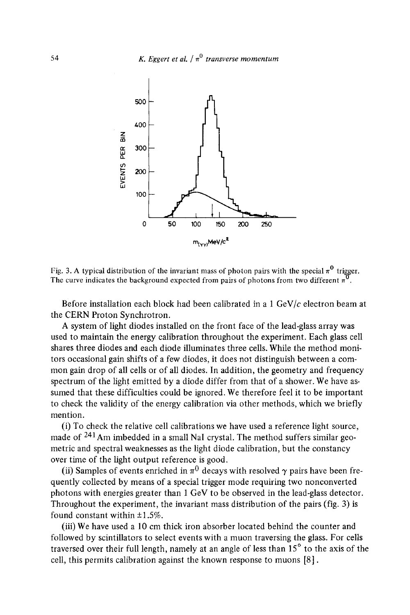

Fig. 3. A typical distribution of the invariant mass of photon pairs with the special  $\pi^0$  trigger. The curve indicates the background expected from pairs of photons from two different  $\pi^0$ .

Before installation each block had been calibrated in a  $1 \text{ GeV}/c$  electron beam at the CERN Proton Synchrotron.

A system of light diodes installed on the front face of the lead-glass array was used to maintain the energy calibration throughout the experiment. Each glass cell shares three diodes and each diode illuminates three cells. While the method monitors occasional gain shifts of a few diodes, it does not distinguish between a common gain drop of all cells or of all diodes. In addition, the geometry and frequency spectrum of the light emitted by a diode differ from that of a shower. We have assumed that these difficulties could be ignored. We therefore feel it to be important to check the validity of the energy calibration via other methods, which we briefly mention.

(i) To check the relative cell calibrations we have used a reference light source, made of 241Am imbedded in a small NaI crystal. The method suffers similar geometric and spectral weaknesses as the light diode calibration, but the constancy over time of the light output reference is good.

(ii) Samples of events enriched in  $\pi^0$  decays with resolved  $\gamma$  pairs have been frequently collected by means of a special trigger mode requiring two nonconverted photons with energies greater than 1 GeV to be observed in the lead-glass detector. Throughout the experiment, the invariant mass distribution of the pairs (fig. 3) is found constant within  $\pm 1.5\%$ .

(iii) We have used a 10 cm thick iron absorber located behind the counter and followed by scintillators to select events with a muon traversing the glass. For cells traversed over their full length, namely at an angle of less than  $15^\circ$  to the axis of the cell, this permits calibration against the known response to muons [8].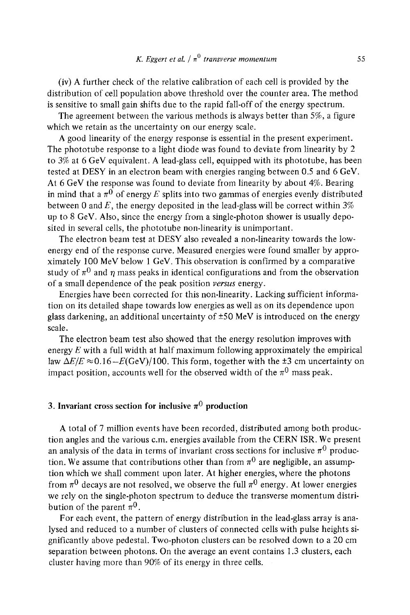## *K. Eggert et al.*  $\pi^0$  *transverse momentum* 55

(iv) A further check of the relative calibration of each cell is provided by the distribution of cell population above threshold over the counter area. The method is sensitive to small gain shifts due to the rapid fall-off of the energy spectrum.

The agreement between the various methods is always better than 5%, a figure which we retain as the uncertainty on our energy scale.

A good linearity of the energy response is essential in the present experiment. The phototube response to a light diode was found to deviate from linearity by 2 to 3% at 6 GeV equivalent. A lead-glass cell, equipped with its phototube, has been tested at DESY in an electron beam with energies ranging between 0.5 and 6 GeV. At 6 GeV the response was found to deviate from linearity by about 4%. Bearing in mind that a  $\pi^0$  of energy E splits into two gammas of energies evenly distributed between 0 and  $E$ , the energy deposited in the lead-glass will be correct within 3% up to 8 GeV. Also, since the energy from a single-photon shower is usually deposited in several cells, the phototube non-linearity is unimportant.

The electron beam test at DESY also revealed a non-linearity towards the lowenergy end of the response curve. Measured energies were found smaller by approximately 100 MeV below 1 GeV. This observation is confirmed by a comparative study of  $\pi^0$  and  $\eta$  mass peaks in identical configurations and from the observation of a small dependence of the peak position *versus* energy.

Energies have been corrected for this non-linearity. Lacking sufficient information on its detailed shape towards low energies as well as on its dependence upon glass darkening, an additional uncertainty of  $\pm$ 50 MeV is introduced on the energy scale.

The electron beam test also showed that the energy resolution improves with energy  $E$  with a full width at half maximum following approximately the empirical law  $\Delta E/E \approx 0.16 - E(GeV)/100$ . This form, together with the  $\pm 3$  cm uncertainty on impact position, accounts well for the observed width of the  $\pi^0$  mass peak.

#### 3. Invariant cross section for inclusive  $\pi^0$  production

A total of 7 million events have been recorded, distributed among both production angles and the various c.m. energies available from the CERN ISR. We present an analysis of the data in terms of invariant cross sections for inclusive  $\pi^0$  production. We assume that contributions other than from  $\pi^0$  are negligible, an assumption which we shall comment upon later. At higher energies, where the photons from  $\pi^0$  decays are not resolved, we observe the full  $\pi^0$  energy. At lower energies we rely on the single-photon spectrum to deduce the transverse momentum distribution of the parent  $\pi^0$ .

For each event, the pattern of energy distribution in the lead-glass array is analysed and reduced to a number of clusters of connected cells with pulse heights significantly above pedestal. Two-photon clusters can be resolved down to a 20 cm separation between photons. On the average an event contains 1.3 clusters, each cluster having more than 90% of its energy in three cells.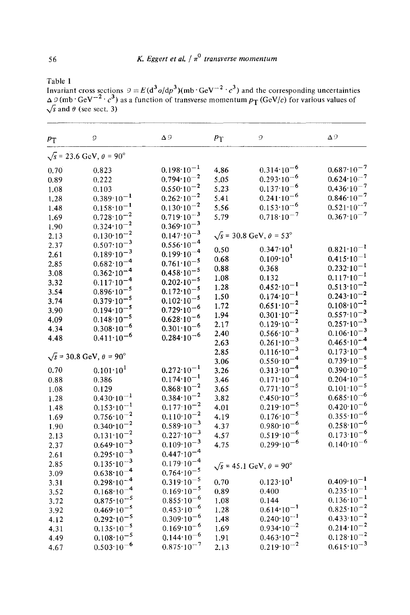Table 1

Invariant cross sections  $\mathcal{Q} = E(d^{\sigma} \sigma/dp^{\sigma})(mb \cdot GeV^{-2} \cdot c^{\sigma})$  and the corresponding uncertainties  $\Delta$  9 (mb · GeV<sup>--2</sup> · c<sup>2</sup>) as a function of transverse momentum  $p_T$  (GeV/c) for various values of  $\sqrt{s}$  and  $\theta$  (see sect. 3)

| $p_{\rm T}$ | 9                                                 | Δ9                    | $p_{\rm T}$ | 9                                     | Δ9                    |
|-------------|---------------------------------------------------|-----------------------|-------------|---------------------------------------|-----------------------|
|             | $\sqrt{s}$ = 23.6 GeV, $\theta$ = 90 <sup>°</sup> |                       |             |                                       |                       |
| 0.70        | 0.823                                             | $0.198 \cdot 10^{-1}$ | 4.86        | $0.314 \cdot 10^{-6}$                 | $0.687 \cdot 10^{-7}$ |
| 0.89        | 0.222                                             | $0.794 \cdot 10^{-2}$ | 5.05        | $0.293 \cdot 10^{-6}$                 | $0.624 \cdot 10^{-7}$ |
| 1.08        | 0.103                                             | $0.550 \cdot 10^{-2}$ | 5.23        | $0.137 \cdot 10^{-6}$                 | $0.436 \cdot 10^{-7}$ |
| 1.28        | $0.389 \cdot 10^{-1}$                             | $0.262 \cdot 10^{-2}$ | 5.41        | $0.241 \cdot 10^{-6}$                 | $0.846 \cdot 10^{-7}$ |
| 1.48        | $0.158 \cdot 10^{-1}$                             | $0.130 \cdot 10^{-2}$ | 5.56        | $0.153 \cdot 10^{-6}$                 | $0.521 \cdot 10^{-7}$ |
| 1.69        | $0.728 \cdot 10^{-2}$                             | $0.719 \cdot 10^{-3}$ | 5.79        | $0.718 \cdot 10^{-7}$                 | $0.367 \cdot 10^{-7}$ |
| 1.90        | $0.324 \cdot 10^{-2}$                             | $0.369 \cdot 10^{-3}$ |             |                                       |                       |
| 2.13        | $0.130 \cdot 10^{-2}$                             | $0.147 \cdot 10^{-3}$ |             | $\sqrt{s}$ = 30.8 GeV, $\theta$ = 53° |                       |
| 2.37        | $0.507:10^{-3}$                                   | $0.556 \cdot 10^{-4}$ |             |                                       |                       |
| 2.61        | $0.189 \cdot 10^{-3}$                             | $0.199 \cdot 10^{-4}$ | 0.50        | $0.347 \cdot 10^{1}$                  | $0.821 \cdot 10^{-1}$ |
| 2.85        | $0.682 \cdot 10^{-4}$                             | $0.761 \cdot 10^{-5}$ | 0.68        | $0.109 \cdot 10^{1}$                  | $0.415 \cdot 10^{-1}$ |
| 3.08        | $0.362 \cdot 10^{-4}$                             | $0.458 \cdot 10^{-5}$ | 0.88        | 0.368                                 | $0.232 \cdot 10^{-1}$ |
| 3.32        | $0.117 \cdot 10^{-4}$                             | $0.202 \cdot 10^{-5}$ | 1.08        | 0.132                                 | $0.117 \cdot 10^{-1}$ |
| 3.54        | $0.896 \cdot 10^{-5}$                             | $0.172 \cdot 10^{-5}$ | 1.28        | $0.452 \cdot 10^{-1}$                 | $0.513 \cdot 10^{-2}$ |
| 3.74        | $0.379 \cdot 10^{-5}$                             | $0.102 \cdot 10^{-5}$ | 1.50        | $0.174 \cdot 10^{-1}$                 | $0.243 \cdot 10^{-2}$ |
| 3.90        | $0.194 \cdot 10^{-5}$                             | $0.729 \cdot 10^{-6}$ | 1.72        | $0.651 \cdot 10^{-2}$                 | $0.108 \cdot 10^{-2}$ |
| 4.09        | $0.148 \cdot 10^{-5}$                             | $0.628 \cdot 10^{-6}$ | 1.94        | $0.301 \cdot 10^{-2}$                 | $0.557 \cdot 10^{-3}$ |
| 4.34        | $0.308 \cdot 10^{-6}$                             | $0.301 \cdot 10^{-6}$ | 2.17        | $0.129 \cdot 10^{-2}$                 | $0.257 \cdot 10^{-3}$ |
| 4.48        | $0.411 \cdot 10^{-6}$                             | $0.284 \cdot 10^{-6}$ | 2.40        | $0.566 \cdot 10^{-3}$                 | $0.106 \cdot 10^{-3}$ |
|             |                                                   |                       | 2.63        | $0.261 \cdot 10^{-3}$                 | $0.465 \cdot 10^{-4}$ |
|             | $\sqrt{s}$ = 30.8 GeV, $\theta$ = 90°             |                       | 2.85        | $0.116 \cdot 10^{-3}$                 | $0.173 \cdot 10^{-4}$ |
|             |                                                   |                       | 3.06        | $0.550 \cdot 10^{-4}$                 | $0.739 \cdot 10^{-5}$ |
| 0.70        | $0.101 \cdot 10^{1}$                              | $0.272 \cdot 10^{-1}$ | 3.26        | $0.313 \cdot 10^{-4}$                 | $0.390 \cdot 10^{-5}$ |
| 0.88        | 0.386                                             | $0.174 \cdot 10^{-1}$ | 3.46        | $0.171 \cdot 10^{-4}$                 | $0.204 \cdot 10^{-5}$ |
| 1.08        | 0.129                                             | $0.868 \cdot 10^{-2}$ | 3.65        | $0.771 \cdot 10^{-5}$                 | $0.101 \cdot 10^{-5}$ |
| 1.28        | $0.430 \cdot 10^{-1}$                             | $0.384 \cdot 10^{-2}$ | 3.82        | $0.450 \cdot 10^{-5}$                 | $0.685 \cdot 10^{-6}$ |
| 1.48        | $0.153 \cdot 10^{-1}$                             | $0.177 \cdot 10^{-2}$ | 4.01        | $0.219 \cdot 10^{-5}$                 | $0.420 \cdot 10^{-6}$ |
| 1.69        | $0.756 \cdot 10^{-2}$                             | $0.110 \cdot 10^{-2}$ | 4.19        | $0.176 \cdot 10^{-5}$                 | $0.355 \cdot 10^{-6}$ |
| 1.90        | $0.340 \cdot 10^{-2}$                             | $0.589 \cdot 10^{-3}$ | 4.37        | $0.980 \cdot 10^{-6}$                 | $0.258 \cdot 10^{-6}$ |
| 2.13        | $0.131 \cdot 10^{-2}$                             | $0.227 \cdot 10^{-3}$ | 4.57        | $0.519 \cdot 10^{-6}$                 | $0.173 \cdot 10^{-6}$ |
| 2.37        | $0.649 \cdot 10^{-3}$                             | $0.109 \cdot 10^{-3}$ | 4.75        | $0.299 \cdot 10^{-6}$                 | $0.140 \cdot 10^{-6}$ |
| 2.61        | $0.295 \cdot 10^{-3}$                             | $0.447 \cdot 10^{-4}$ |             |                                       |                       |
| 2.85        | $0.135 \cdot 10^{-3}$                             | $0.179 \cdot 10^{-4}$ |             | $\sqrt{s}$ = 45.1 GeV, $\theta$ = 90° |                       |
| 3.09        | $0.638 \cdot 10^{-4}$                             | $0.764 \cdot 10^{-5}$ |             |                                       |                       |
| 3.31        | $0.298 \cdot 10^{-4}$                             | $0.319 \cdot 10^{-5}$ | 0.70        | $0.123 \cdot 10^{1}$                  | $0.409 \cdot 10^{-1}$ |
| 3.52        | $0.168 \cdot 10^{-4}$                             | $0.169 \cdot 10^{-5}$ | 0.89        | 0.400                                 | $0.235 \cdot 10^{-1}$ |
| 3.72        | $0.875 \cdot 10^{-5}$                             | $0.855 \cdot 10^{-6}$ | 1.08        | 0.144                                 | $0.136 \cdot 10^{-1}$ |
| 3.92        | $0.469 \cdot 10^{-5}$                             | $0.453 \cdot 10^{-6}$ | 1.28        | $0.614 \cdot 10^{-1}$                 | $0.825 \cdot 10^{-2}$ |
| 4.12        | $0.292 \cdot 10^{-5}$                             | $0.309 \cdot 10^{-6}$ | 1.48        | $0.240 \cdot 10^{-1}$                 | $0.433 \cdot 10^{-2}$ |
| 4.31        | $0.135 \cdot 10^{-5}$                             | $0.169 \cdot 10^{-6}$ | 1.69        | $0.934 \cdot 10^{-2}$                 | $0.214 \cdot 10^{-2}$ |
| 4.49        | $0.108 \cdot 10^{-5}$                             | $0.144 \cdot 10^{-6}$ | 1.91        | $0.463 \cdot 10^{-2}$                 | $0.128 \cdot 10^{-2}$ |
| 4.67        | $0.503 \cdot 10^{-6}$                             | $0.875 \cdot 10^{-7}$ | 2.13        | $0.219 \cdot 10^{-2}$                 | $0.615 \cdot 10^{-3}$ |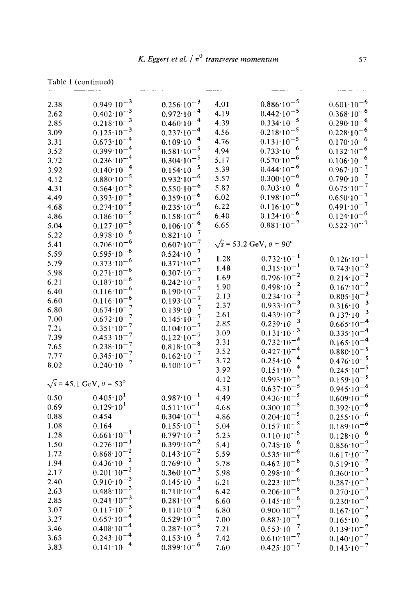| 2.38 | $0.949 \cdot 10^{-3}$                 | $0.256 \cdot 10^{-3}$ | 4.01 | $0.886 \cdot 10^{-5}$                             | $0.601 \cdot 10^{-6}$ |
|------|---------------------------------------|-----------------------|------|---------------------------------------------------|-----------------------|
| 2.62 | $0.402 \cdot 10^{-3}$                 | $0.972 \cdot 10^{-4}$ | 4.19 | $0.442 \cdot 10^{-5}$                             | $0.368 \cdot 10^{-6}$ |
| 2.85 | $0.218 \cdot 10^{-3}$                 | $0.460 \cdot 10^{-4}$ | 4.39 | $0.334 \cdot 10^{-5}$                             | $0.290 \cdot 10^{-6}$ |
| 3.09 | $0.125 \cdot 10^{-3}$                 | $0.237 \cdot 10^{-4}$ | 4.56 | $0.218 \cdot 10^{-5}$                             | $0.228 \cdot 10^{-6}$ |
| 3.31 | $0.673 \cdot 10^{-4}$                 | $0.109 \cdot 10^{-4}$ | 4.76 | $0.131 \cdot 10^{-5}$                             | $0.170 \cdot 10^{-6}$ |
| 3.52 | $0.399 \cdot 10^{-4}$                 | $0.581 \cdot 10^{-5}$ | 4.94 | $0.733 \cdot 10^{-6}$                             | $0.132 \cdot 10^{-6}$ |
| 3.72 | $0.236 \cdot 10^{-4}$                 | $0.304 \cdot 10^{-5}$ | 5.17 | $0.570 \cdot 10^{-6}$                             | $0.106 \cdot 10^{-6}$ |
| 3.92 | $0.140 \cdot 10^{-4}$                 | $0.154 \cdot 10^{-5}$ | 5.39 | $0.444 \cdot 10^{-6}$                             | $0.967 \cdot 10^{-7}$ |
|      | $0.880 \cdot 10^{-5}$                 | $0.932 \cdot 10^{-6}$ | 5.57 | $0.300 \cdot 10^{-6}$                             | $0.790 \cdot 10^{-7}$ |
| 4.12 | $0.564 \cdot 10^{-5}$                 |                       | 5.82 | $0.203 \cdot 10^{-6}$                             | $0.675 \cdot 10^{-7}$ |
| 4.31 |                                       | $0.550 \cdot 10^{-6}$ |      | $0.198 \cdot 10^{-6}$                             |                       |
| 4.49 | $0.393 \cdot 10^{-5}$                 | $0.359 \cdot 10^{-6}$ | 6.02 | $0.116 \cdot 10^{-6}$                             | $0.650 \cdot 10^{-7}$ |
| 4.68 | $0.274 \cdot 10^{-5}$                 | $0.235 \cdot 10^{-6}$ | 6.22 |                                                   | $0.491 \cdot 10^{-7}$ |
| 4.86 | $0.186 \cdot 10^{-5}$                 | $0.158 \cdot 10^{-6}$ | 6.40 | $0.124 \cdot 10^{-6}$                             | $0.124 \cdot 10^{-6}$ |
| 5.04 | $0.127 \cdot 10^{-5}$                 | $0.106 \cdot 10^{-6}$ | 6.65 | $0.881 \cdot 10^{-7}$                             | $0.522 \cdot 10^{-7}$ |
| 5.22 | $0.978 \cdot 10^{-6}$                 | $0.821 \cdot 10^{-7}$ |      |                                                   |                       |
| 5.41 | $0.706 \cdot 10^{-6}$                 | $0.607 \cdot 10^{-7}$ |      | $\sqrt{s}$ = 53.2 GeV, $\theta$ = 90 <sup>o</sup> |                       |
| 5.59 | $0.595 \cdot 10^{-6}$                 | $0.524 \cdot 10^{-7}$ | 1.28 | $0.732 \cdot 10^{-1}$                             | $0.126 \cdot 10^{-1}$ |
| 5.79 | $0.373 \cdot 10^{-6}$                 | $0.371 \cdot 10^{-7}$ | 1.48 | $0.315 \cdot 10^{-1}$                             | $0.743 \cdot 10^{-2}$ |
| 5.98 | $0.271 \cdot 10^{-6}$                 | $0.307 \cdot 10^{-7}$ | 1.69 | $0.796 \cdot 10^{-2}$                             | $0.214 \cdot 10^{-2}$ |
| 6.21 | $0.187 \cdot 10^{-6}$                 | $0.242 \cdot 10^{-7}$ | 1.90 | $0.498 \cdot 10^{-2}$                             | $0.167 \cdot 10^{-2}$ |
| 6.40 | $0.116 \cdot 10^{-6}$                 | $0.190 \cdot 10^{-7}$ |      | $0.234 \cdot 10^{-2}$                             | $0.805 \cdot 10^{-3}$ |
| 6.60 | $0.116 \cdot 10^{-6}$                 | $0.193 \cdot 10^{-7}$ | 2.13 | $0.933 \cdot 10^{-3}$                             | $0.316 \cdot 10^{-3}$ |
| 6.80 | $0.674 \cdot 10^{-7}$                 | $0.139 \cdot 10^{-7}$ | 2.37 | $0.439 \cdot 10^{-3}$                             |                       |
| 7.00 | $0.672 \cdot 10^{-7}$                 | $0.145 \cdot 10^{-7}$ | 2.61 | $0.239 \cdot 10^{-3}$                             | $0.137 \cdot 10^{-3}$ |
| 7.21 | $0.351 \cdot 10^{-7}$                 | $0.104 \cdot 10^{-7}$ | 2.85 | $0.131 \cdot 10^{-3}$                             | $0.665 \cdot 10^{-4}$ |
| 7.39 | $0.453 \cdot 10^{-7}$                 | $0.122 \cdot 10^{-7}$ | 3.09 |                                                   | $0.335 \cdot 10^{-4}$ |
| 7.65 | $0.238 \cdot 10^{-7}$                 | $0.818 \cdot 10^{-8}$ | 3.31 | $0.732 \cdot 10^{-4}$                             | $0.165 \cdot 10^{-4}$ |
| 7.77 | $0.345 \cdot 10^{-7}$                 | $0.162 \cdot 10^{-7}$ | 3.52 | $0.427 \cdot 10^{-4}$                             | $0.880 \cdot 10^{-5}$ |
| 8.02 | $0.240 \cdot 10^{-7}$                 | $0.100 \cdot 10^{-7}$ | 3.72 | $0.254 \cdot 10^{-4}$                             | $0.476 \cdot 10^{-5}$ |
|      |                                       |                       | 3.92 | $0.151 \cdot 10^{-4}$                             | $0.245 \cdot 10^{-5}$ |
|      | $\sqrt{s}$ = 45.1 GeV, $\theta$ = 53° |                       | 4.12 | $0.993 \cdot 10^{-5}$                             | $0.159 \cdot 10^{-5}$ |
|      |                                       |                       | 4.31 | $0.637 \cdot 10^{-5}$                             | $0.945 \cdot 10^{-6}$ |
| 0.50 | $0.405 \cdot 10^{1}$                  | $0.987 \cdot 10^{-1}$ | 4.49 | $0.436 \cdot 10^{-5}$                             | $0.609 \cdot 10^{-6}$ |
| 0.69 | $0.129 \cdot 10^{1}$                  | $0.511 \cdot 10^{-1}$ | 4.68 | $0.300 \cdot 10^{-5}$                             | $0.392 \cdot 10^{-6}$ |
| 0.88 | 0.454                                 | $0.304 \cdot 10^{-1}$ | 4.86 | $0.204 \cdot 10^{-5}$                             | $0.255 \cdot 10^{-6}$ |
| 1.08 | 0.164                                 | $0.155 \cdot 10^{-1}$ | 5.04 | $0.157 \cdot 10^{-5}$                             | $0.189 \cdot 10^{-6}$ |
| 1.28 | $0.661 \cdot 10^{-1}$                 | $0.797 \cdot 10^{-2}$ | 5.23 | $0.110 \cdot 10^{-5}$                             | $0.128 \cdot 10^{-6}$ |
| 1.50 | $0.276 \cdot 10^{-1}$                 | $0.399 \cdot 10^{-2}$ | 5.41 | $0.748 \cdot 10^{-6}$                             | $0.856 \cdot 10^{-7}$ |
| 1.72 | $0.868 \cdot 10^{-2}$                 | $0.143 \cdot 10^{-2}$ | 5.59 | $0.535 \cdot 10^{-6}$                             | $0.617 \cdot 10^{-7}$ |
| 1.94 | $0.436 \cdot 10^{-2}$                 | $0.769 \cdot 10^{-3}$ | 5.78 | $0.462 \cdot 10^{-6}$                             | $0.519 \cdot 10^{-7}$ |
| 2.17 | $0.201 \cdot 10^{-2}$                 | $0.360 \cdot 10^{-3}$ | 5.98 | $0.298 \cdot 10^{-6}$                             | $0.360 \cdot 10^{-7}$ |
| 2.40 | $0.910 \cdot 10^{-3}$                 | $0.145 \cdot 10^{-3}$ | 6.21 | $0.223 \cdot 10^{-6}$                             | $0.287 \cdot 10^{-7}$ |
| 2.63 | $0.488 \cdot 10^{-3}$                 | $0.710 \cdot 10^{-4}$ | 6.42 | $0.206 \cdot 10^{-6}$                             | $0.270 \cdot 10^{-7}$ |
| 2.85 | $0.241 \cdot 10^{-3}$                 | $0.281 \cdot 10^{-4}$ | 6.60 | $0.145 \cdot 10^{-6}$                             | $0.230 \cdot 10^{-7}$ |
| 3.07 | $0.117 \cdot 10^{-3}$                 | $0.110 \cdot 10^{-4}$ | 6.80 | $0.900 \cdot 10^{-7}$                             | $0.167 \cdot 10^{-7}$ |
| 3.27 | $0.657 \cdot 10^{-4}$                 | $0.529 \cdot 10^{-5}$ | 7.00 | $0.887 \cdot 10^{-7}$                             | $0.165 \cdot 10^{-7}$ |
| 3.46 | $0.408 \cdot 10^{-4}$                 | $0.287 \cdot 10^{-5}$ | 7.21 | $0.553 \cdot 10^{-7}$                             | $0.139 \cdot 10^{-7}$ |
| 3.65 | $0.243 \cdot 10^{-4}$                 | $0.153 \cdot 10^{-5}$ | 7.42 | $0.610 \cdot 10^{-7}$                             | $0.140 \cdot 10^{-7}$ |
|      |                                       |                       |      |                                                   |                       |

7.60  $0.425 \cdot 10^{-7}$   $0.143 \cdot 10^{-7}$ 

3.83  $0.141 \cdot 10^{-4}$   $0.899 \cdot 10^{-6}$ 

Table 1 (continued)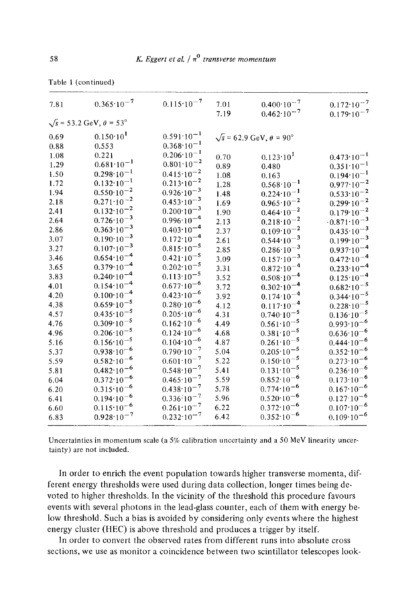| 7.81     | $0.365 \cdot 10^{-7}$                 | $0.115 \cdot 10^{-7}$ | 7.01<br>7.19 | $0.400 \cdot 10^{-7}$<br>$0.462 \cdot 10^{-7}$    | $0.172 \cdot 10^{-7}$<br>$0.179 \cdot 10^{-7}$ |
|----------|---------------------------------------|-----------------------|--------------|---------------------------------------------------|------------------------------------------------|
|          | $\sqrt{s}$ = 53.2 GeV, $\theta$ = 53° |                       |              |                                                   |                                                |
| 0.69     | $0.150 \cdot 10^{1}$                  | $0.591 \cdot 10^{-1}$ |              | $\sqrt{s}$ = 62.9 GeV, $\theta$ = 90 <sup>°</sup> |                                                |
| 0.88     | 0.553                                 | $0.368 \cdot 10^{-1}$ |              |                                                   |                                                |
| $1.08\,$ | 0.221                                 | $0.206 \cdot 10^{-1}$ | 0.70         | $0.123 \cdot 10^{1}$                              | $0.473 \cdot 10^{-1}$                          |
| 1.29     | $0.681 \cdot 10^{-1}$                 | $0.801 \cdot 10^{-2}$ | 0.89         | 0.480                                             | $0.351 \cdot 10^{-1}$                          |
| 1.50     | $0.298 \cdot 10^{-1}$                 | $0.415 \cdot 10^{-2}$ | 1.08         | 0.163                                             | $0.194 \cdot 10^{-1}$                          |
| 1.72     | $0.132 \cdot 10^{-1}$                 | $0.213 \cdot 10^{-2}$ | 1.28         | $0.568 \cdot 10^{-1}$                             | $0.977 \cdot 10^{-2}$                          |
| 1.94     | $0.550 \cdot 10^{-2}$                 | $0.926 \cdot 10^{-3}$ | 1.48         | $0.224 \cdot 10^{-1}$                             | $0.533 \cdot 10^{-2}$                          |
| 2.18     | $0.271 \cdot 10^{-2}$                 | $0.453 \cdot 10^{-3}$ | 1.69         | $0.965 \cdot 10^{-2}$                             | $0.299 \cdot 10^{-2}$                          |
| 2.41     | $0.132 \cdot 10^{-2}$                 | $0.200 \cdot 10^{-3}$ | 1.90         | $0.464 \cdot 10^{-2}$                             | $0.179 \cdot 10^{-2}$                          |
| 2.64     | $0.726 \cdot 10^{-3}$                 | $0.996 \cdot 10^{-4}$ | 2.13         | $0.218 \cdot 10^{-2}$                             | $-0.871 \cdot 10^{-3}$                         |
| 2.86     | $0.363 \cdot 10^{-3}$                 | $0.403 \cdot 10^{-4}$ | 2.37         | $0.109 \cdot 10^{-2}$                             | $0.435 \cdot 10^{-3}$                          |
| 3.07     | $0.190 \cdot 10^{-3}$                 | $0.172 \cdot 10^{-4}$ | 2.61         | $0.544 \cdot 10^{-3}$                             | $0.199 \cdot 10^{-3}$                          |
| 3.27     | $0.107 \cdot 10^{-3}$                 | $0.815 \cdot 10^{-5}$ | 2.85         | $0.286 \cdot 10^{-3}$                             | $0.937 \cdot 10^{-4}$                          |
| 3.46     | $0.654 \cdot 10^{-4}$                 | $0.421 \cdot 10^{-5}$ | 3.09         | $0.157 \cdot 10^{-3}$                             | $0.472 \cdot 10^{-4}$                          |
| 3.65     | $0.379 \cdot 10^{-4}$                 | $0.202 \cdot 10^{-5}$ | 3.31         | $0.872 \cdot 10^{-4}$                             | $0.233 \cdot 10^{-4}$                          |
| 3.83     | $0.240 \cdot 10^{-4}$                 | $0.113 \cdot 10^{-5}$ | 3.52         | $0.508 \cdot 10^{-4}$                             | $0.125 \cdot 10^{-4}$                          |
| 4.01     | $0.154 \cdot 10^{-4}$                 | $0.677 \cdot 10^{-6}$ | 3.72         | $0.302 \cdot 10^{-4}$                             | $0.682 \cdot 10^{-5}$                          |
| 4.20     | $0.100 \cdot 10^{-4}$                 | $0.423 \cdot 10^{-6}$ | 3.92         | $0.174 \cdot 10^{-4}$                             | $0.344 \cdot 10^{-5}$                          |
| 4.38     | $0.659 \cdot 10^{-5}$                 | $0.280 \cdot 10^{-6}$ | 4.12         | $0.117 \cdot 10^{-4}$                             | $0.228 \cdot 10^{-5}$                          |
| 4.57     | $0.435 \cdot 10^{-5}$                 | $0.205 \cdot 10^{-6}$ | 4.31         | $0.740 \cdot 10^{-5}$                             | $0.136 \cdot 10^{-5}$                          |
| 4.76     | $0.309 \cdot 10^{-5}$                 | $0.162 \cdot 10^{-6}$ | 4.49         | $0.561 \cdot 10^{-5}$                             | $0.993 \cdot 10^{-6}$                          |
| 4.96     | $0.206 \cdot 10^{-5}$                 | $0.124 \cdot 10^{-6}$ | 4.68         | $0.381 \cdot 10^{-5}$                             | $0.636 \cdot 10^{-6}$                          |
| 5.16     | $0.156 \cdot 10^{-5}$                 | $0.104 \cdot 10^{-6}$ | 4.87         | $0.261 \cdot 10^{-5}$                             | $0.444 \cdot 10^{-6}$                          |
| 5.37     | $0.938 \cdot 10^{-6}$                 | $0.790 \cdot 10^{-7}$ | 5.04         | $0.205 \cdot 10^{-5}$                             | $0.352 \cdot 10^{-6}$                          |
| 5.59     | $0.582 \cdot 10^{-6}$                 | $0.601 \cdot 10^{-7}$ | 5.22         | $0.150 \cdot 10^{-5}$                             | $0.273 \cdot 10^{-6}$                          |
| 5.81     | $0.482 \cdot 10^{-6}$                 | $0.548 \cdot 10^{-7}$ | 5.41         | $0.131 \cdot 10^{-5}$                             | $0.236 \cdot 10^{-6}$                          |
| 6.04     | $0.372 \cdot 10^{-6}$                 | $0.465 \cdot 10^{-7}$ | 5.59         | $0.852 \cdot 10^{-6}$                             | $0.173 \cdot 10^{-6}$                          |
| 6.20     | $0.315 \cdot 10^{-6}$                 | $0.438 \cdot 10^{-7}$ | 5.78         | $0.774 \cdot 10^{-6}$                             | $0.167 \cdot 10^{-6}$                          |
| 6.41     | $0.194 \cdot 10^{-6}$                 | $0.336 \cdot 10^{-7}$ | 5.96         | $0.520 \cdot 10^{-6}$                             | $0.127 \cdot 10^{-6}$                          |
| 6.60     | $0.115 \cdot 10^{-6}$                 | $0.261 \cdot 10^{-7}$ | 6.22         | $0.372 \cdot 10^{-6}$                             | $0.107 \cdot 10^{-6}$                          |
| 6.83     | $0.928 \cdot 10^{-7}$                 | $0.232 \cdot 10^{-7}$ | 6.42         | $0.352 \cdot 10^{-6}$                             | $0.109 \cdot 10^{-6}$                          |
|          |                                       |                       |              |                                                   |                                                |

|  |  | Table 1 (continued) |
|--|--|---------------------|
|--|--|---------------------|

Uncertainties in momentum scale (a 5% calibration uncertainty and a 50 MeV linearity uncertainty) are not included.

In order to enrich the event population towards higher transverse momenta, different energy thresholds were used during data collection, longer times being devoted to higher thresholds. In the vicinity of the threshold this procedure favours events with several photons in the lead-glass counter, each of them with energy below threshold. Such a bias is avoided by considering only events where the highest energy cluster (HEC) is above threshold and produces a trigger by itself.

In order to convert the observed rates from different runs into absolute cross sections, we use as monitor a coincidence between two scintillator telescopes look-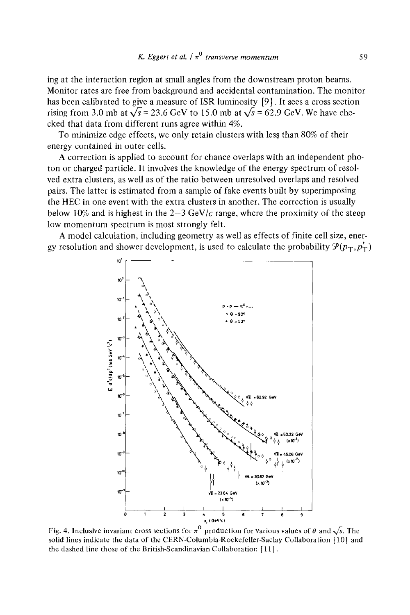**ing at the interaction region at small angles from the downstream proton beams. Monitor rates are free from background and accidental contamination. The monitor has been calibrated to give a measure of ISR luminosity [9]. It sees a cross section**  rising from 3.0 mb at  $\sqrt{s}$  = 23.6 GeV to 15.0 mb at  $\sqrt{s}$  = 62.9 GeV. We have che**cked that data from different runs agree within 4%.** 

To minimize edge effects, we only retain clusters with less than 80% of their **energy contained in outer cells.** 

**A correction is applied to account for chance overlaps with an independent photon or charged particle. It involves the knowledge of the energy spectrum of resolved extra clusters, as well as of the ratio between unresolved overlaps and resolved pairs. The latter is estimated from a sample of fake events built by superimposing the HEC in one event with the extra clusters in another. The correction is usually**  below 10% and is highest in the  $2-3 \text{ GeV}/c$  range, where the proximity of the steep **low momentum spectrum is most strongly felt.** 

**A model calculation, including geometry as well as effects of finite cell size, ener**gy resolution and shower development, is used to calculate the probability  $\mathcal{P}(p_{\rm T}, p_{\rm T}')$ 



Fig. 4. Inclusive invariant cross sections for  $\pi^0$  production for various values of  $\theta$  and  $\sqrt{s}$ . The **solid lines indicate the data of the CERN-Columbia-Rockefeller-Saclay Collaboration [10] and the dashed Line those of the British-Scandinavian Collaboration** [ 11 ].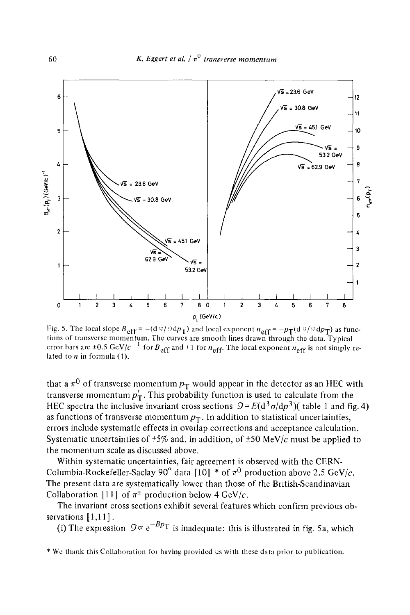

Fig. 5. The local slope  $B_{\text{eff}} = -(d \frac{9}{9} d p_T)$  and local exponent  $n_{\text{eff}} = -p_T(d \frac{9}{9} d p_T)$  as functions of transverse momentum. The curves are smooth lines drawn through the data. Typical error bars are  $\pm 0.5$  GeV/ $c^{-1}$  for  $B_{\text{eff}}$  and  $\pm 1$  for  $n_{\text{eff}}$ . The local exponent  $n_{\text{eff}}$  is not simply related to  $n$  in formula (1).

that a  $\pi^0$  of transverse momentum  $p_T$  would appear in the detector as an HEC with transverse momentum  $p_T^{\prime}$ . This probability function is used to calculate from the HEC spectra the inclusive invariant cross sections  $\mathcal{Q} = E(\frac{d^3 \sigma}{dp^3})$  (table 1 and fig. 4) as functions of transverse momentum  $p<sub>T</sub>$ . In addition to statistical uncertainties, errors include systematic effects in overlap corrections and acceptance calculation. Systematic uncertainties of  $\pm 5\%$  and, in addition, of  $\pm 50$  MeV/c must be applied to the momentum scale as discussed above.

Within systematic uncertainties, fair agreement is observed with the CERN-Columbia-Rockefeller-Saclay 90° data [10] \* of  $\pi^0$  production above 2.5 GeV/c. The present data are systematically lower than those of the British-Scandinavian Collaboration [11] of  $\pi^{\pm}$  production below 4 GeV/c.

The invariant cross sections exhibit several features which confirm previous observations [1,11].

(i) The expression  $9 \propto e^{-Bp_T}$  is inadequate: this is illustrated in fig. 5a, which

\* We thank this Collaboration for having provided us with these data prior to publication.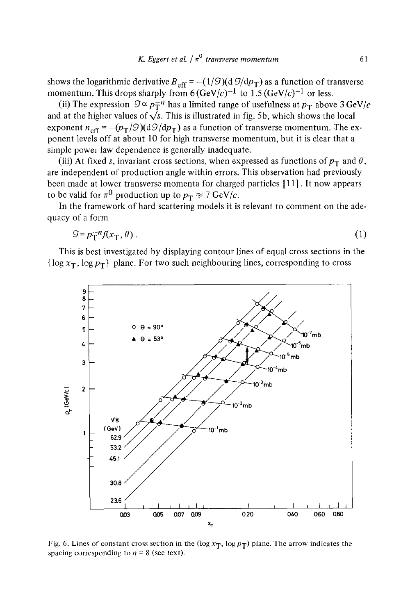shows the logarithmic derivative  $B_{\text{eff}} = -(1/9)(d \frac{O}{dp})$  as a function of transverse momentum. This drops sharply from  $6(GeV/c)^{-1}$  to  $1.5(GeV/c)^{-1}$  or less.

(ii) The expression  $9 \propto p_T^{-n}$  has a limited range of usefulness at  $p_T$  above 3 GeV/c and at the higher values of  $\sqrt{s}$ . This is illustrated in fig. 5b, which shows the local exponent  $n_{\text{eff}} = -(p_T/\mathcal{O})(d\mathcal{O}/dp_T)$  as a function of transverse momentum. The exponent levels off at about 10 for high transverse momentum, but it is clear that a simple power law dependence is generally inadequate.

(iii) At fixed s, invariant cross sections, when expressed as functions of  $p_T$  and  $\theta$ , are independent of production angle within errors. This observation had previously been made at lower transverse momenta for charged particles [1 1]. It now appears to be valid for  $\pi^0$  production up to  $p_T \approx 7 \text{ GeV}/c$ .

In the framework of hard scattering models it is relevant to comment on the adequacy of a form

$$
9 = p_{\rm T}^{-n} f(x_{\rm T}, \theta) \tag{1}
$$

This is best investigated by displaying contour lines of equal cross sections in the  $\{\log x_T, \log p_T\}$  plane. For two such neighbouring lines, corresponding to cross



Fig. 6. Lines of constant cross section in the (log  $x_T$ , log  $p_T$ ) plane. The arrow indicates the spacing corresponding to  $n = 8$  (see text).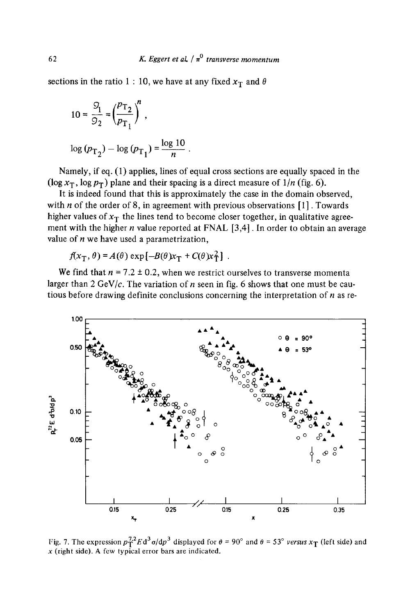sections in the ratio 1 : 10, we have at any fixed  $x_T$  and  $\theta$ 

$$
10 = \frac{S_1}{9_2} = \left(\frac{p_{\text{T}_2}}{p_{\text{T}_1}}\right)^n,
$$
  

$$
\log (p_{\text{T}_2}) - \log (p_{\text{T}_1}) = \frac{\log 10}{n}.
$$

Namely, if eq. (1) applies, lines of equal cross sections are equally spaced in the  $(\log x_T, \log p_T)$  plane and their spacing is a direct measure of  $1/n$  (fig. 6).

It is indeed found that this is approximately the case in the domain observed, with  $n$  of the order of 8, in agreement with previous observations  $[1]$ . Towards higher values of  $x_T$  the lines tend to become closer together, in qualitative agreement with the higher  $n$  value reported at FNAL  $[3,4]$ . In order to obtain an average value of  $n$  we have used a parametrization,

 $f(x_T, \theta) = A(\theta) \exp[-B(\theta)x_T + C(\theta)x_T^2]$ .

We find that  $n = 7.2 \pm 0.2$ , when we restrict ourselves to transverse momenta larger than 2 GeV/c. The variation of n seen in fig. 6 shows that one must be cautious before drawing definite conclusions concerning the interpretation of  $n$  as re-



Fig. 7. The expression  $p_T^{7.2} E d^3 \sigma/dp^3$  displayed for  $\theta = 90^\circ$  and  $\theta = 53^\circ$  *versus*  $x_T$  (left side) and  $x$  (right side). A few typical error bars are indicated.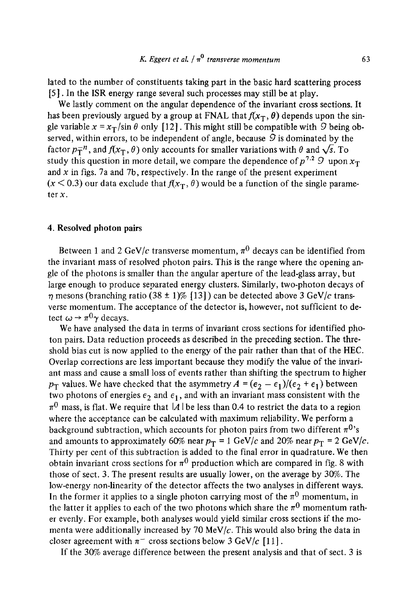lated to the number of constituents taking part in the basic hard scattering process [5 ]. In the ISR energy range several such processes may still be at play.

We lastly comment on the angular dependence of the invariant cross sections. It has been previously argued by a group at FNAL that  $f(x_T, \theta)$  depends upon the single variable  $x = x_T/\sin \theta$  only [12]. This might still be compatible with 9 being observed, within errors, to be independent of angle, because  $9$  is dominated by the factor  $p_T^{-n}$ , and  $f(x_T, \theta)$  only accounts for smaller variations with  $\theta$  and  $\sqrt{s}$ . To study this question in more detail, we compare the dependence of  $p^{7.2}$  9 upon  $x_T$ and  $x$  in figs. 7a and 7b, respectively. In the range of the present experiment  $(x < 0.3)$  our data exclude that  $f(x_T, \theta)$  would be a function of the single parameter x.

#### 4. Resolved photon pairs

Between 1 and 2 GeV/c transverse momentum,  $\pi^0$  decays can be identified from the invariant mass of resolved photon pairs. This is the range where the opening angle of the photons is smaller than the angular aperture of the lead-glass array, but large enough to produce separated energy clusters. Similarly, two-photon decays of  $\eta$  mesons (branching ratio (38 ± 1)% [13]) can be detected above 3 GeV/c transverse momentum. The acceptance of the detector is, however, not sufficient to detect  $\omega \rightarrow \pi^0 \gamma$  decays.

We have analysed the data in terms of invariant cross sections for identified photon pairs. Data reduction proceeds as described in the preceding section. The threshold bias cut is now applied to the energy of the pair rather than that of the HEC. Overlap corrections are less important because they modify the value of the invariant mass and cause a small loss of events rather than shifting the spectrum to higher  $p_T$  values. We have checked that the asymmetry  $A = (\epsilon_2 - \epsilon_1)/(\epsilon_2 + \epsilon_1)$  between two photons of energies  $\epsilon_2$  and  $\epsilon_1$ , and with an invariant mass consistent with the  $\pi^0$  mass, is flat. We require that |A| be less than 0.4 to restrict the data to a region where the acceptance can be calculated with maximum reliability. We perform a background subtraction, which accounts for photon pairs from two different  $\pi^{0}$ 's and amounts to approximately 60% near  $p_T = 1$  GeV/c and 20% near  $p_T = 2$  GeV/c. Thirty per cent of this subtraction is added to the final error in quadrature. We then obtain invariant cross sections for  $\pi^0$  production which are compared in fig. 8 with those of sect. 3. The present results are usually lower, on the average by 30%. The low-energy non-linearity of the detector affects the two analyses in different ways. In the former it applies to a single photon carrying most of the  $\pi^0$  momentum, in the latter it applies to each of the two photons which share the  $\pi^0$  momentum rather evenly. For example, both analyses would yield similar cross sections if the momenta were additionally increased by 70 MeV/ $c$ . This would also bring the data in closer agreement with  $\pi^-$  cross sections below 3 GeV/c [11].

If the 30% average difference between the present analysis and that of sect. 3 is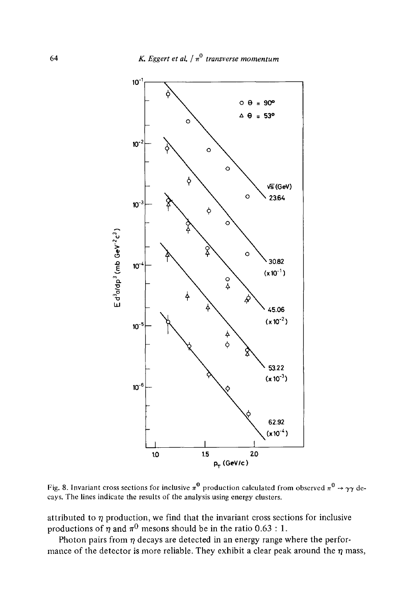

Fig. 8. Invariant cross sections for inclusive  $\pi^0$  production calculated from observed  $\pi^0 \rightarrow \gamma \gamma$  decays. The lines indicate the results of the analysis using energy clusters.

attributed to  $\eta$  production, we find that the invariant cross sections for inclusive productions of  $\eta$  and  $\pi^0$  mesons should be in the ratio 0.63 : 1.

Photon pairs from  $\eta$  decays are detected in an energy range where the performance of the detector is more reliable. They exhibit a clear peak around the  $\eta$  mass,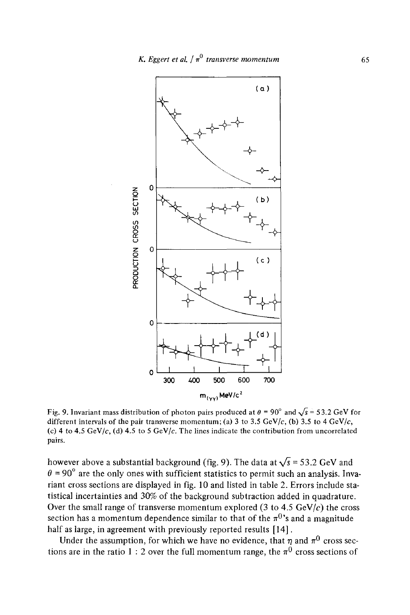

Fig. 9. Invariant mass distribution of photon pairs produced at  $\theta = 90^\circ$  and  $\sqrt{s} = 53.2$  GeV for different intervals of the pair transverse momentum; (a) 3 to 3.5 GeV/c, (b) 3.5 to 4 GeV/c, (c) 4 to 4.5 GeV/c, (d) 4.5 to 5 GeV/c. The lines indicate the contribution from uncorrelated pairs.

however above a substantial background (fig. 9). The data at  $\sqrt{s}$  = 53.2 GeV and  $\theta$  = 90° are the only ones with sufficient statistics to permit such an analysis. Invariant cross sections are displayed in fig. 10 and listed in table 2. Errors include statistical incertainties and 30% of the background subtraction added in quadrature. Over the small range of transverse momentum explored (3 to 4.5 GeV/ $c$ ) the cross section has a momentum dependence similar to that of the  $\pi^{0}$ 's and a magnitude half as large, in agreement with previously reported results [14].

Under the assumption, for which we have no evidence, that  $\eta$  and  $\pi^0$  cross sections are in the ratio 1 : 2 over the full momentum range, the  $\pi^0$  cross sections of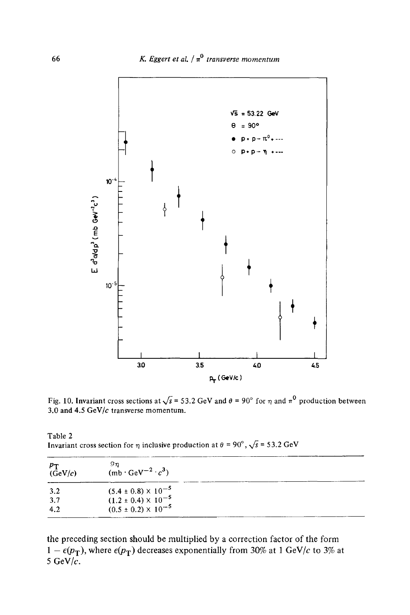

Fig. 10. Invariant cross sections at  $\sqrt{s}$  = 53.2 GeV and  $\theta$  = 90° for  $\eta$  and  $\pi^0$  production between 3.0 and 4.5 GeV/ $c$  transverse momentum.

Table 2 Invariant cross section for  $\eta$  inclusive production at  $\theta = 90^\circ$ ,  $\sqrt{s} = 53.2$  GeV

| $p_{\rm T}$<br>(GeV/c) | 9η<br>$(mb \cdot \text{GeV}^{-2} \cdot c^3)$                                                       |  |  |
|------------------------|----------------------------------------------------------------------------------------------------|--|--|
| 3.2<br>3.7             | $(5.4 \pm 0.8) \times 10^{-5}$<br>(1.2 ± 0.4) × 10 <sup>-5</sup><br>(0.5 ± 0.2) × 10 <sup>-5</sup> |  |  |
| 4.2                    |                                                                                                    |  |  |

the preceding section should be multiplied by a correction factor of the form  $1 - \epsilon(p_T)$ , where  $\epsilon(p_T)$  decreases exponentially from 30% at 1 GeV/c to 3% at 5 GeV/ $\tilde{c}$ .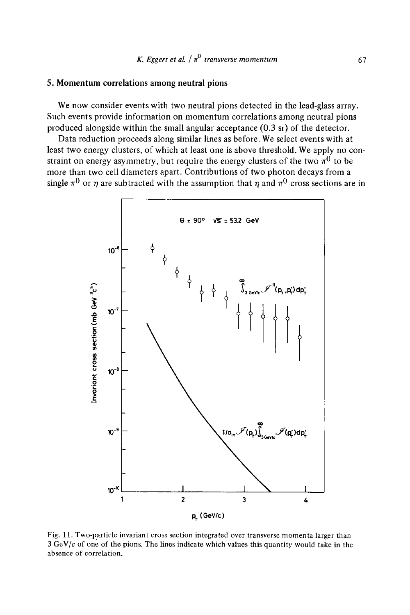#### 5. Momentum correlations **among neutral pions**

We now consider events with two neutral pions detected in the lead-glass array. Such events provide information on momentum correlations among neutral pions produced alongside within the small angular acceptance  $(0.3 \text{ sr})$  of the detector.

Data reduction proceeds along similar lines as before. We select events with at least two energy clusters, of which at least one is above threshold. We apply no constraint on energy asymmetry, but require the energy clusters of the two  $\pi^{0}$  to be more than two cell diameters apart. Contributions of two photon decays from a single  $\pi^0$  or  $\eta$  are subtracted with the assumption that  $\eta$  and  $\pi^0$  cross sections are in



Fig. 11. Two-particle invariant cross section integrated over transverse momenta larger than  $3 \text{ GeV}/c$  of one of the pions. The lines indicate which values this quantity would take in the absence of correlation.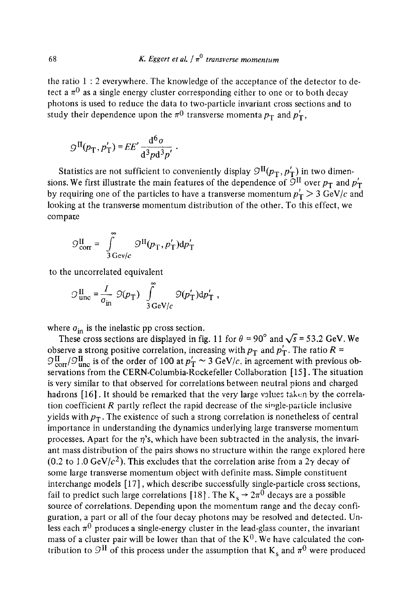the ratio  $1:2$  everywhere. The knowledge of the acceptance of the detector to detect a  $\pi^0$  as a single energy cluster corresponding either to one or to both decay photons is used to reduce the data to two-particle invariant cross sections and to study their dependence upon the  $\pi^0$  transverse momenta  $p_T$  and  $p'_T$ ,

$$
\mathcal{G}^{\rm II}(p_{\rm T},p_{\rm T}') = E E' \frac{d^6 \sigma}{d^3 p d^3 p'}.
$$

Statistics are not sufficient to conveniently display  $\mathcal{I}^{II}(p_T, p'_T)$  in two dimensions. We first illustrate the main features of the dependence of  $\overline{O}^{II}$  over  $p_T$  and  $p'_T$ by requiring one of the particles to have a transverse momentum  $p'_T > 3 \text{ GeV}/c$  and looking at the transverse momentum distribution of the other. To this effect, we compare

$$
\mathcal{G}_{\text{corr}}^{\text{II}} = \int_{3 \text{ Gev}/c}^{\infty} \mathcal{G}^{\text{II}}(p_{\text{T}}, p_{\text{T}}') \text{d}p_{\text{T}}'
$$

to the uncorrelated equivalent

$$
\mathcal{O}_{\text{unc}}^{\text{II}} = \frac{I}{\sigma_{\text{in}}} \ \mathcal{O}(p_{\text{T}}) \ \int_{3\,\text{GeV}/c}^{\infty} \mathcal{O}(p_{\text{T}}') \text{d}p_{\text{T}}' \ ,
$$

where  $\sigma_{\text{in}}$  is the inelastic pp cross section.

These cross sections are displayed in fig. 11 for  $\theta = 90^\circ$  and  $\sqrt{s} = 53.2$  GeV. We observe a strong positive correlation, increasing with  $p_T$  and  $p'_T$ . The ratio  $R =$  $I_{\rm corr}^{\rm II}/\mathcal{O}_{\rm unc}^{\rm II}$  is of the order of 100 at  $p_{\rm T} \sim 3$  GeV/c, in agreement with previous observations from the CERN-Columbia-Rockefeller Collaboration [15]. The situation is very similar to that observed for correlations between neutral pions and charged hadrons [16]. It should be remarked that the very large values taken by the correlation coefficient  $R$  partly reflect the rapid decrease of the single-particle inclusive yields with  $p_T$ . The existence of such a strong correlation is nonetheless of central importance in understanding the dynamics underlying large transverse momentum processes. Apart for the  $\eta$ 's, which have been subtracted in the analysis, the invariant mass distribution of the pairs shows no structure within the range explored here (0.2 to 1.0 GeV/ $c^2$ ). This excludes that the correlation arise from a 2 $\gamma$  decay of some large transverse momentum object with definite mass. Simple constituent interchange models [17], which describe successfully single-particle cross sections, fail to predict such large correlations [18]. The  $K_s \rightarrow 2\pi^0$  decays are a possible source of correlations. Depending upon the momentum range and the decay configuration, a part or all of the four decay photons may be resolved and detected. Unless each  $\pi^0$  produces a single-energy cluster in the lead-glass counter, the invariant mass of a cluster pair will be lower than that of the  $K^0$ . We have calculated the contribution to  $\mathcal{I}^{\text{II}}$  of this process under the assumption that K<sub>s</sub> and  $\pi^0$  were produced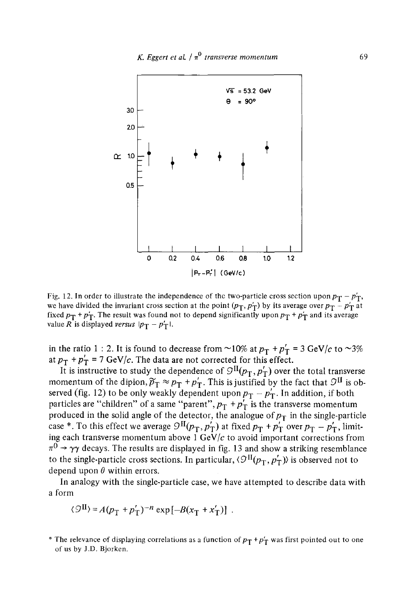

Fig. 12. In order to illustrate the independence of the two-particle cross section upon  $p_T - p'_T$ , we have divided the invariant cross section at the point  $(p_T, p_T)$  by its average over  $p_T - p_T$  at fixed  $p_T + p'_T$ . The result was found not to depend significantly upon  $p_T + p'_T$  and its average value R is displayed *versus*  $|p_T - p'_T|$ .

in the ratio 1 : 2. It is found to decrease from ~10% at  $p_T + p'_T = 3$  GeV/c to ~3% at  $p_T + p_T' = 7$  GeV/c. The data are not corrected for this effect.

It is instructive to study the dependence of  $\mathcal{I}^{II}(p_T, p'_T)$  over the total transverse momentum of the dipion,  $\widetilde{p}_T \approx p_T + p'_T$ . This is justified by the fact that  $\mathcal{I}^{\text{II}}$  is observed (fig. 12) to be only weakly dependent upon  $p_T - p'_T$ . In addition, if both particles are "children" of a same "parent",  $p_T + p'_T$  is the transverse momentum produced in the solid angle of the detector, the analogue of  $p<sub>T</sub>$  in the single-particle case \*. To this effect we average  $\mathcal{Q}^{II}(p_T, p_T')$  at fixed  $p_T + p_T'$  over  $p_T - p_T'$ , limiting each transverse momentum above  $1 \text{ GeV}/c$  to avoid important corrections from  $\pi^0 \rightarrow \gamma \gamma$  decays. The results are displayed in fig. 13 and show a striking resemblance to the single-particle cross sections. In particular,  $\langle \mathcal{I}^{\text{II}}(p_{\text{T}}, p_{\text{T}}') \rangle$  is observed not to depend upon  $\theta$  within errors.

In analogy with the single-particle case, we have attempted to describe data with a form

$$
\langle \mathcal{Q}^{\text{II}} \rangle = A(p_{\text{T}} + p_{\text{T}}')^{-n} \exp[-B(x_{\text{T}} + x_{\text{T}}')] .
$$

<sup>\*</sup> The relevance of displaying correlations as a function of  $p_T + p'_T$  was first pointed out to one of us by J.D. Bjorken.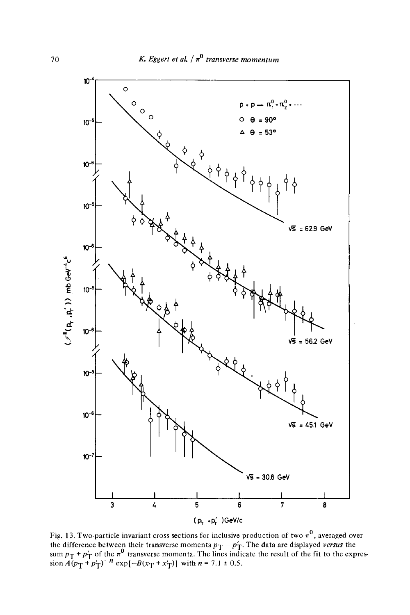

Fig. 13. Two-particle invariant cross sections for inclusive production of two  $\pi^0$ , averaged over the difference between their transverse momenta  $p_{\text{T}} - p_{\text{T}}'$ . The data are displayed *versus* the sum  $p_T$  +  $p'_T$  of the  $\pi^{\vee}$  transverse momenta. The lines indicate the result of the fit to the expression  $A(p_T + p_T')^{-n}$  exp $[-B(x_T + x_T')]$  with  $n = 7.1 \pm 0.5$ .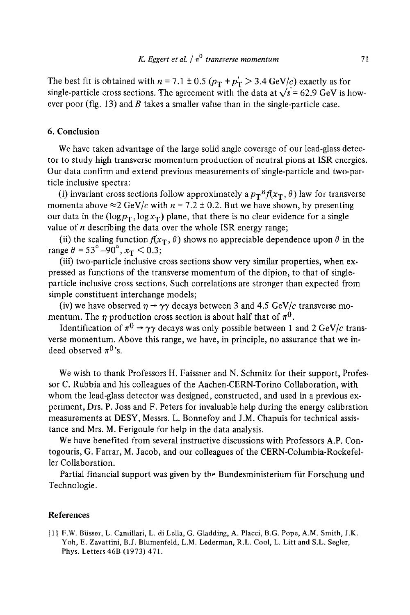The best fit is obtained with  $n = 7.1 \pm 0.5$  ( $p_T + p_T' > 3.4$  GeV/c) exactly as for single-particle cross sections. The agreement with the data at  $\sqrt{s}$  = 62.9 GeV is however poor (fig. 13) and B takes a smaller value than in the single-particle case.

#### 6. Conclusion

We have taken advantage of the large solid angle coverage of our lead-glass detector to study high transverse momentum production of neutral pions at ISR energies. Our data confirm and extend previous measurements of single-particle and two-particle inclusive spectra:

(i) invariant cross sections follow approximately a  $p_T^{-n}f(x_T, \theta)$  law for transverse momenta above  $\approx$  2 GeV/c with  $n = 7.2 \pm 0.2$ . But we have shown, by presenting our data in the ( $log p_T$ ,  $log x_T$ ) plane, that there is no clear evidence for a single value of  $n$  describing the data over the whole ISR energy range;

(ii) the scaling function  $f(x_T, \theta)$  shows no appreciable dependence upon  $\theta$  in the range  $\theta = 53^{\circ} - 90^{\circ}$ ,  $x_T < 0.3$ ;

(iii) two-particle inclusive cross sections show very similar properties, when expressed as functions of the transverse momentum of the dipion, to that of singleparticle inclusive cross sections. Such correlations are stronger than expected from simple constituent interchange models;

(iv) we have observed  $\eta \rightarrow \gamma \gamma$  decays between 3 and 4.5 GeV/c transverse momentum. The  $\eta$  production cross section is about half that of  $\pi^0$ .

Identification of  $\pi^0 \rightarrow \gamma \gamma$  decays was only possible between 1 and 2 GeV/c transverse momentum. Above this range, we have, in principle, no assurance that we indeed observed  $\pi^{0}$ 's.

We wish to thank Professors H. Faissner and N. Schmitz for their support, Professor C. Rubbia and his colleagues of the Aachen-CERN-Torino Collaboration, with whom the lead-glass detector was designed, constructed, and used in a previous experiment, Drs. P. Joss and F. Peters for invaluable help during the energy calibration measurements at DESY, Messrs. L. Bonnefoy and J.M. Chapuis for technical assistance and Mrs. M. Ferigoule for help in the data analysis.

We have benefited from several instructive discussions with Professors A.P. Contogouris, G. Farrar, M. Jacob, and our colleagues of the CERN-Columbia-Rockefeller Collaboration.

Partial financial support was given by the Bundesministerium für Forschung und Technologie.

#### References

[1] F.W. Biisser, L. Camillari, L. di Lella, G. Gladding, A. Placci, B.G. Pope, A.M. Smith, J.K. Yoh, E. Zavattini, B.J. Blumenfeld, L.M. Lederman, R.L. Cool, L. Litt and S.L. Segler, Phys. Letters 46B (1973) 471.